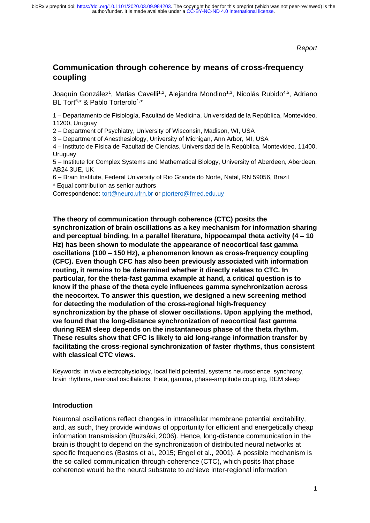*Report*

## **Communication through coherence by means of cross-frequency coupling**

Joaquín González<sup>1</sup>, Matias Cavelli<sup>1,2</sup>, Alejandra Mondino<sup>1,3</sup>, Nicolás Rubido<sup>4,5</sup>, Adriano BL Tort<sup>6,\*</sup> & Pablo Torterolo<sup>1,\*</sup>

1 – Departamento de Fisiología, Facultad de Medicina, Universidad de la República, Montevideo, 11200, Uruguay

2 – Department of Psychiatry, University of Wisconsin, Madison, WI, USA

3 – Department of Anesthesiology, University of Michigan, Ann Arbor, MI, USA

4 – Instituto de Física de Facultad de Ciencias, Universidad de la República, Montevideo, 11400, Uruguay

5 – Institute for Complex Systems and Mathematical Biology, University of Aberdeen, Aberdeen, AB24 3UE, UK

6 – Brain Institute, Federal University of Rio Grande do Norte, Natal, RN 59056, Brazil \* Equal contribution as senior authors

Correspondence: [tort@neuro.ufrn.br](mailto:tort@neuro.ufrn.br) or [ptortero@fmed.edu.uy](mailto:ptortero@fmed.edu.uy)

#### **The theory of communication through coherence (CTC) posits the**

**synchronization of brain oscillations as a key mechanism for information sharing and perceptual binding. In a parallel literature, hippocampal theta activity (4 – 10 Hz) has been shown to modulate the appearance of neocortical fast gamma oscillations (100 – 150 Hz), a phenomenon known as cross-frequency coupling (CFC). Even though CFC has also been previously associated with information routing, it remains to be determined whether it directly relates to CTC. In particular, for the theta-fast gamma example at hand, a critical question is to know if the phase of the theta cycle influences gamma synchronization across the neocortex. To answer this question, we designed a new screening method for detecting the modulation of the cross-regional high-frequency synchronization by the phase of slower oscillations. Upon applying the method, we found that the long-distance synchronization of neocortical fast gamma during REM sleep depends on the instantaneous phase of the theta rhythm. These results show that CFC is likely to aid long-range information transfer by facilitating the cross-regional synchronization of faster rhythms, thus consistent with classical CTC views.**

Keywords: in vivo electrophysiology, local field potential, systems neuroscience, synchrony, brain rhythms, neuronal oscillations, theta, gamma, phase-amplitude coupling, REM sleep

#### **Introduction**

Neuronal oscillations reflect changes in intracellular membrane potential excitability, and, as such, they provide windows of opportunity for efficient and energetically cheap information transmission (Buzsáki, 2006). Hence, long-distance communication in the brain is thought to depend on the synchronization of distributed neural networks at specific frequencies (Bastos et al., 2015; Engel et al., 2001). A possible mechanism is the so-called communication-through-coherence (CTC), which posits that phase coherence would be the neural substrate to achieve inter-regional information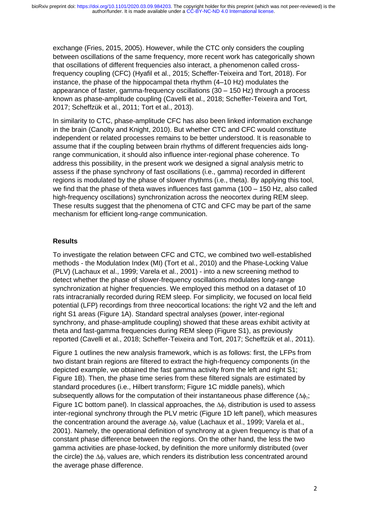exchange (Fries, 2015, 2005). However, while the CTC only considers the coupling between oscillations of the same frequency, more recent work has categorically shown that oscillations of different frequencies also interact, a phenomenon called crossfrequency coupling (CFC) (Hyafil et al., 2015; Scheffer-Teixeira and Tort, 2018). For instance, the phase of the hippocampal theta rhythm (4–10 Hz) modulates the appearance of faster, gamma-frequency oscillations (30 – 150 Hz) through a process known as phase-amplitude coupling (Cavelli et al., 2018; Scheffer-Teixeira and Tort, 2017; Scheffzük et al., 2011; Tort et al., 2013).

In similarity to CTC, phase-amplitude CFC has also been linked information exchange in the brain (Canolty and Knight, 2010). But whether CTC and CFC would constitute independent or related processes remains to be better understood. It is reasonable to assume that if the coupling between brain rhythms of different frequencies aids longrange communication, it should also influence inter-regional phase coherence. To address this possibility, in the present work we designed a signal analysis metric to assess if the phase synchrony of fast oscillations (i.e., gamma) recorded in different regions is modulated by the phase of slower rhythms (i.e., theta). By applying this tool, we find that the phase of theta waves influences fast gamma (100 – 150 Hz, also called high-frequency oscillations) synchronization across the neocortex during REM sleep. These results suggest that the phenomena of CTC and CFC may be part of the same mechanism for efficient long-range communication.

## **Results**

To investigate the relation between CFC and CTC, we combined two well-established methods - the Modulation Index (MI) (Tort et al., 2010) and the Phase-Locking Value (PLV) (Lachaux et al., 1999; Varela et al., 2001) - into a new screening method to detect whether the phase of slower-frequency oscillations modulates long-range synchronization at higher frequencies. We employed this method on a dataset of 10 rats intracranially recorded during REM sleep. For simplicity, we focused on local field potential (LFP) recordings from three neocortical locations: the right V2 and the left and right S1 areas (Figure 1A). Standard spectral analyses (power, inter-regional synchrony, and phase-amplitude coupling) showed that these areas exhibit activity at theta and fast-gamma frequencies during REM sleep (Figure S1), as previously reported (Cavelli et al., 2018; Scheffer-Teixeira and Tort, 2017; Scheffzük et al., 2011).

Figure 1 outlines the new analysis framework, which is as follows: first, the LFPs from two distant brain regions are filtered to extract the high-frequency components (in the depicted example, we obtained the fast gamma activity from the left and right S1; Figure 1B). Then, the phase time series from these filtered signals are estimated by standard procedures (i.e., Hilbert transform; Figure 1C middle panels), which subsequently allows for the computation of their instantaneous phase difference  $(\Delta\phi_{\rm v})$ ; Figure 1C bottom panel). In classical approaches, the  $\Delta\phi_\gamma$  distribution is used to assess inter-regional synchrony through the PLV metric (Figure 1D left panel), which measures the concentration around the average  $\Delta\phi_{\gamma}$  value (Lachaux et al., 1999; Varela et al., 2001). Namely, the operational definition of synchrony at a given frequency is that of a constant phase difference between the regions. On the other hand, the less the two gamma activities are phase-locked, by definition the more uniformly distributed (over the circle) the  $\Delta\phi$ , values are, which renders its distribution less concentrated around the average phase difference.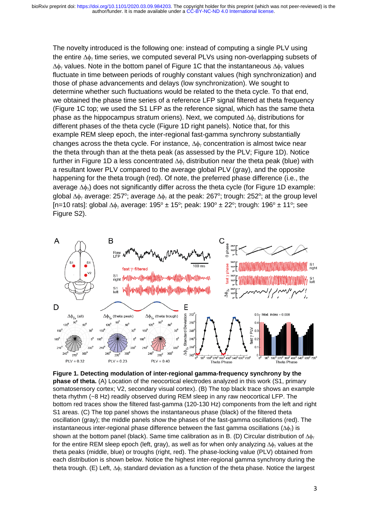The novelty introduced is the following one: instead of computing a single PLV using the entire  $\Delta\phi$  time series, we computed several PLVs using non-overlapping subsets of  $\Delta\phi$  values. Note in the bottom panel of Figure 1C that the instantaneous  $\Delta\phi$  values fluctuate in time between periods of roughly constant values (high synchronization) and those of phase advancements and delays (low synchronization). We sought to determine whether such fluctuations would be related to the theta cycle. To that end, we obtained the phase time series of a reference LFP signal filtered at theta frequency (Figure 1C top; we used the S1 LFP as the reference signal, which has the same theta phase as the hippocampus stratum oriens). Next, we computed  $\Delta\phi_{\gamma}$  distributions for different phases of the theta cycle (Figure 1D right panels). Notice that, for this example REM sleep epoch, the inter-regional fast-gamma synchrony substantially changes across the theta cycle. For instance,  $\Delta\phi_{\gamma}$  concentration is almost twice near the theta through than at the theta peak (as assessed by the PLV; Figure 1D). Notice further in Figure 1D a less concentrated  $\Delta\phi_{\nu}$  distribution near the theta peak (blue) with a resultant lower PLV compared to the average global PLV (gray), and the opposite happening for the theta trough (red). Of note, the preferred phase difference (i.e., the average  $\Delta\phi$ , does not significantly differ across the theta cycle (for Figure 1D example: global  $\Delta\phi$  average: 257°; average  $\Delta\phi$  at the peak: 267°; trough: 252°; at the group level [n=10 rats]: global  $\Delta\phi$  average: 195° ± 15°; peak: 190° ± 22°; trough: 196° ± 11°; see Figure S2).



**Figure 1. Detecting modulation of inter-regional gamma-frequency synchrony by the phase of theta.** (A) Location of the neocortical electrodes analyzed in this work (S1, primary somatosensory cortex; V2, secondary visual cortex). (B) The top black trace shows an example theta rhythm (~8 Hz) readily observed during REM sleep in any raw neocortical LFP. The bottom red traces show the filtered fast-gamma (120-130 Hz) components from the left and right S1 areas. (C) The top panel shows the instantaneous phase (black) of the filtered theta oscillation (gray); the middle panels show the phases of the fast-gamma oscillations (red). The instantaneous inter-regional phase difference between the fast gamma oscillations  $(\Delta\phi_{\gamma})$  is shown at the bottom panel (black). Same time calibration as in B. (D) Circular distribution of  $\Delta\phi_{\rm v}$ for the entire REM sleep epoch (left, gray), as well as for when only analyzing  $\Delta\phi$  values at the theta peaks (middle, blue) or troughs (right, red). The phase-locking value (PLV) obtained from each distribution is shown below. Notice the highest inter-regional gamma synchrony during the theta trough. (E) Left,  $\Delta\phi_{\gamma}$  standard deviation as a function of the theta phase. Notice the largest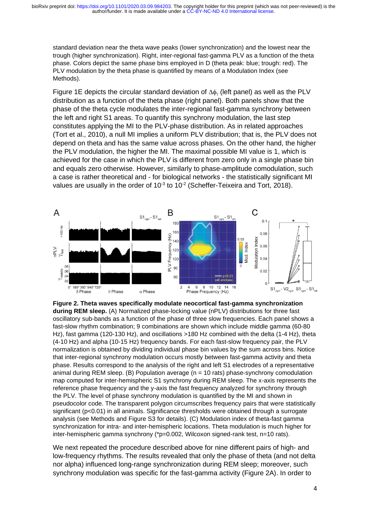standard deviation near the theta wave peaks (lower synchronization) and the lowest near the trough (higher synchronization). Right, inter-regional fast-gamma PLV as a function of the theta phase. Colors depict the same phase bins employed in D (theta peak: blue; trough: red). The PLV modulation by the theta phase is quantified by means of a Modulation Index (see Methods).

Figure 1E depicts the circular standard deviation of  $\Delta\phi_{\nu}$  (left panel) as well as the PLV distribution as a function of the theta phase (right panel). Both panels show that the phase of the theta cycle modulates the inter-regional fast-gamma synchrony between the left and right S1 areas. To quantify this synchrony modulation, the last step constitutes applying the MI to the PLV-phase distribution. As in related approaches (Tort et al., 2010), a null MI implies a uniform PLV distribution; that is, the PLV does not depend on theta and has the same value across phases. On the other hand, the higher the PLV modulation, the higher the MI. The maximal possible MI value is 1, which is achieved for the case in which the PLV is different from zero only in a single phase bin and equals zero otherwise. However, similarly to phase-amplitude comodulation, such a case is rather theoretical and - for biological networks - the statistically significant MI values are usually in the order of 10 $3$  to 10 $2$  (Scheffer-Teixeira and Tort, 2018).



**Figure 2. Theta waves specifically modulate neocortical fast-gamma synchronization during REM sleep.** (A) Normalized phase-locking value (nPLV) distributions for three fast oscillatory sub-bands as a function of the phase of three slow frequencies. Each panel shows a fast-slow rhythm combination; 9 combinations are shown which include middle gamma (60-80 Hz), fast gamma (120-130 Hz), and oscillations >180 Hz combined with the delta (1-4 Hz), theta (4-10 Hz) and alpha (10-15 Hz) frequency bands. For each fast-slow frequency pair, the PLV normalization is obtained by dividing individual phase bin values by the sum across bins. Notice that inter-regional synchrony modulation occurs mostly between fast-gamma activity and theta phase. Results correspond to the analysis of the right and left S1 electrodes of a representative animal during REM sleep.  $(B)$  Population average  $(n = 10$  rats) phase-synchrony comodulation map computed for inter-hemispheric S1 synchrony during REM sleep. The x-axis represents the reference phase frequency and the y-axis the fast frequency analyzed for synchrony through the PLV. The level of phase synchrony modulation is quantified by the MI and shown in pseudocolor code. The transparent polygon circumscribes frequency pairs that were statistically significant (p<0.01) in all animals. Significance thresholds were obtained through a surrogate analysis (see Methods and Figure S3 for details). (C) Modulation index of theta-fast gamma synchronization for intra- and inter-hemispheric locations. Theta modulation is much higher for inter-hemispheric gamma synchrony (\*p=0.002, Wilcoxon signed-rank test, n=10 rats).

We next repeated the procedure described above for nine different pairs of high- and low-frequency rhythms. The results revealed that only the phase of theta (and not delta nor alpha) influenced long-range synchronization during REM sleep; moreover, such synchrony modulation was specific for the fast-gamma activity (Figure 2A). In order to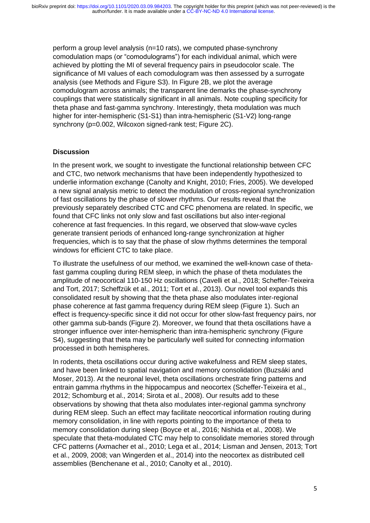perform a group level analysis (n=10 rats), we computed phase-synchrony comodulation maps (or "comodulograms") for each individual animal, which were achieved by plotting the MI of several frequency pairs in pseudocolor scale. The significance of MI values of each comodulogram was then assessed by a surrogate analysis (see Methods and Figure S3). In Figure 2B, we plot the average comodulogram across animals; the transparent line demarks the phase-synchrony couplings that were statistically significant in all animals. Note coupling specificity for theta phase and fast-gamma synchrony. Interestingly, theta modulation was much higher for inter-hemispheric (S1-S1) than intra-hemispheric (S1-V2) long-range synchrony (p=0.002, Wilcoxon signed-rank test; Figure 2C).

#### **Discussion**

In the present work, we sought to investigate the functional relationship between CFC and CTC, two network mechanisms that have been independently hypothesized to underlie information exchange (Canolty and Knight, 2010; Fries, 2005). We developed a new signal analysis metric to detect the modulation of cross-regional synchronization of fast oscillations by the phase of slower rhythms. Our results reveal that the previously separately described CTC and CFC phenomena are related. In specific, we found that CFC links not only slow and fast oscillations but also inter-regional coherence at fast frequencies. In this regard, we observed that slow-wave cycles generate transient periods of enhanced long-range synchronization at higher frequencies, which is to say that the phase of slow rhythms determines the temporal windows for efficient CTC to take place.

To illustrate the usefulness of our method, we examined the well-known case of thetafast gamma coupling during REM sleep, in which the phase of theta modulates the amplitude of neocortical 110-150 Hz oscillations (Cavelli et al., 2018; Scheffer-Teixeira and Tort, 2017; Scheffzük et al., 2011; Tort et al., 2013). Our novel tool expands this consolidated result by showing that the theta phase also modulates inter-regional phase coherence at fast gamma frequency during REM sleep (Figure 1). Such an effect is frequency-specific since it did not occur for other slow-fast frequency pairs, nor other gamma sub-bands (Figure 2). Moreover, we found that theta oscillations have a stronger influence over inter-hemispheric than intra-hemispheric synchrony (Figure S4), suggesting that theta may be particularly well suited for connecting information processed in both hemispheres.

In rodents, theta oscillations occur during active wakefulness and REM sleep states, and have been linked to spatial navigation and memory consolidation (Buzsáki and Moser, 2013). At the neuronal level, theta oscillations orchestrate firing patterns and entrain gamma rhythms in the hippocampus and neocortex (Scheffer-Teixeira et al., 2012; Schomburg et al., 2014; Sirota et al., 2008). Our results add to these observations by showing that theta also modulates inter-regional gamma synchrony during REM sleep. Such an effect may facilitate neocortical information routing during memory consolidation, in line with reports pointing to the importance of theta to memory consolidation during sleep (Boyce et al., 2016; Nishida et al., 2008). We speculate that theta-modulated CTC may help to consolidate memories stored through CFC patterns (Axmacher et al., 2010; Lega et al., 2014; Lisman and Jensen, 2013; Tort et al., 2009, 2008; van Wingerden et al., 2014) into the neocortex as distributed cell assemblies (Benchenane et al., 2010; Canolty et al., 2010).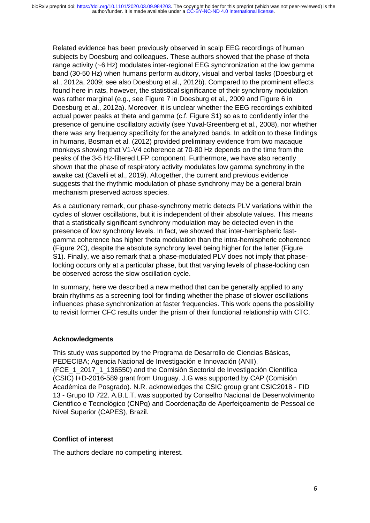Related evidence has been previously observed in scalp EEG recordings of human subjects by Doesburg and colleagues. These authors showed that the phase of theta range activity (~6 Hz) modulates inter-regional EEG synchronization at the low gamma band (30-50 Hz) when humans perform auditory, visual and verbal tasks (Doesburg et al., 2012a, 2009; see also Doesburg et al., 2012b). Compared to the prominent effects found here in rats, however, the statistical significance of their synchrony modulation was rather marginal (e.g., see Figure 7 in Doesburg et al., 2009 and Figure 6 in Doesburg et al., 2012a). Moreover, it is unclear whether the EEG recordings exhibited actual power peaks at theta and gamma (c.f. Figure S1) so as to confidently infer the presence of genuine oscillatory activity (see Yuval-Greenberg et al., 2008), nor whether there was any frequency specificity for the analyzed bands. In addition to these findings in humans, Bosman et al. (2012) provided preliminary evidence from two macaque monkeys showing that V1-V4 coherence at 70-80 Hz depends on the time from the peaks of the 3-5 Hz-filtered LFP component. Furthermore, we have also recently shown that the phase of respiratory activity modulates low gamma synchrony in the awake cat (Cavelli et al., 2019). Altogether, the current and previous evidence suggests that the rhythmic modulation of phase synchrony may be a general brain mechanism preserved across species.

As a cautionary remark, our phase-synchrony metric detects PLV variations within the cycles of slower oscillations, but it is independent of their absolute values. This means that a statistically significant synchrony modulation may be detected even in the presence of low synchrony levels. In fact, we showed that inter-hemispheric fastgamma coherence has higher theta modulation than the intra-hemispheric coherence (Figure 2C), despite the absolute synchrony level being higher for the latter (Figure S1). Finally, we also remark that a phase-modulated PLV does not imply that phaselocking occurs only at a particular phase, but that varying levels of phase-locking can be observed across the slow oscillation cycle.

In summary, here we described a new method that can be generally applied to any brain rhythms as a screening tool for finding whether the phase of slower oscillations influences phase synchronization at faster frequencies. This work opens the possibility to revisit former CFC results under the prism of their functional relationship with CTC.

#### **Acknowledgments**

This study was supported by the Programa de Desarrollo de Ciencias Básicas, PEDECIBA; Agencia Nacional de Investigación e Innovación (ANII), (FCE\_1\_2017\_1\_136550) and the Comisión Sectorial de Investigación Científica (CSIC) I+D-2016-589 grant from Uruguay. J.G was supported by CAP (Comisión Académica de Posgrado). N.R. acknowledges the CSIC group grant CSIC2018 - FID 13 - Grupo ID 722. A.B.L.T. was supported by Conselho Nacional de Desenvolvimento Cientifico e Tecnológico (CNPq) and Coordenação de Aperfeiçoamento de Pessoal de Nível Superior (CAPES), Brazil.

## **Conflict of interest**

The authors declare no competing interest.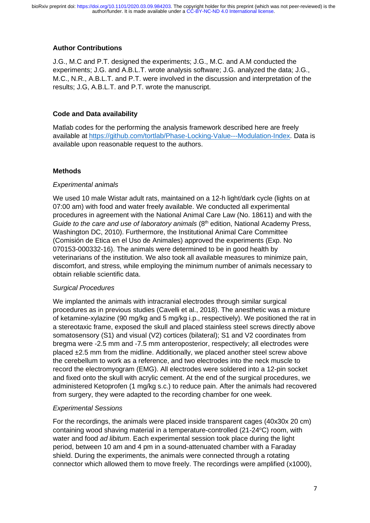## **Author Contributions**

J.G., M.C and P.T. designed the experiments; J.G., M.C. and A.M conducted the experiments; J.G. and A.B.L.T. wrote analysis software; J.G. analyzed the data; J.G., M.C., N.R., A.B.L.T. and P.T. were involved in the discussion and interpretation of the results; J.G, A.B.L.T. and P.T. wrote the manuscript.

## **Code and Data availability**

Matlab codes for the performing the analysis framework described here are freely available at [https://github.com/tortlab/Phase-Locking-Value---Modulation-Index.](https://github.com/tortlab/Phase-Locking-Value---Modulation-Index) Data is available upon reasonable request to the authors.

## **Methods**

## *Experimental animals*

We used 10 male Wistar adult rats, maintained on a 12-h light/dark cycle (lights on at 07:00 am) with food and water freely available. We conducted all experimental procedures in agreement with the National Animal Care Law (No. 18611) and with the *Guide to the care and use of laboratory animals* (8<sup>th</sup> edition, National Academy Press, Washington DC, 2010). Furthermore, the Institutional Animal Care Committee (Comisión de Etica en el Uso de Animales) approved the experiments (Exp. No 070153-000332-16). The animals were determined to be in good health by veterinarians of the institution. We also took all available measures to minimize pain, discomfort, and stress, while employing the minimum number of animals necessary to obtain reliable scientific data.

## *Surgical Procedures*

We implanted the animals with intracranial electrodes through similar surgical procedures as in previous studies (Cavelli et al., 2018). The anesthetic was a mixture of ketamine-xylazine (90 mg/kg and 5 mg/kg i.p., respectively). We positioned the rat in a stereotaxic frame, exposed the skull and placed stainless steel screws directly above somatosensory (S1) and visual (V2) cortices (bilateral); S1 and V2 coordinates from bregma were -2.5 mm and -7.5 mm anteroposterior, respectively; all electrodes were placed ±2.5 mm from the midline. Additionally, we placed another steel screw above the cerebellum to work as a reference, and two electrodes into the neck muscle to record the electromyogram (EMG). All electrodes were soldered into a 12-pin socket and fixed onto the skull with acrylic cement. At the end of the surgical procedures, we administered Ketoprofen (1 mg/kg s.c.) to reduce pain. After the animals had recovered from surgery, they were adapted to the recording chamber for one week.

## *Experimental Sessions*

For the recordings, the animals were placed inside transparent cages (40x30x 20 cm) containing wood shaving material in a temperature-controlled (21-24°C) room, with water and food *ad libitum*. Each experimental session took place during the light period, between 10 am and 4 pm in a sound-attenuated chamber with a Faraday shield. During the experiments, the animals were connected through a rotating connector which allowed them to move freely. The recordings were amplified (x1000),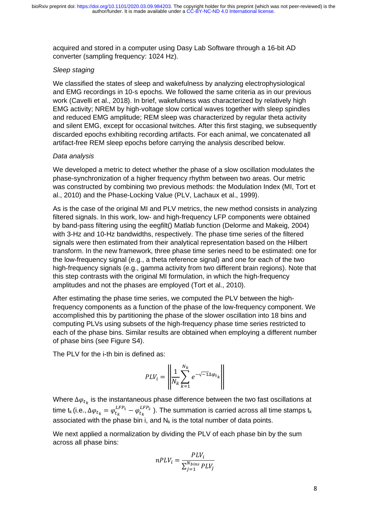acquired and stored in a computer using Dasy Lab Software through a 16-bit AD converter (sampling frequency: 1024 Hz).

#### *Sleep staging*

We classified the states of sleep and wakefulness by analyzing electrophysiological and EMG recordings in 10-s epochs. We followed the same criteria as in our previous work (Cavelli et al., 2018). In brief, wakefulness was characterized by relatively high EMG activity; NREM by high-voltage slow cortical waves together with sleep spindles and reduced EMG amplitude; REM sleep was characterized by regular theta activity and silent EMG, except for occasional twitches. After this first staging, we subsequently discarded epochs exhibiting recording artifacts. For each animal, we concatenated all artifact-free REM sleep epochs before carrying the analysis described below.

#### *Data analysis*

We developed a metric to detect whether the phase of a slow oscillation modulates the phase-synchronization of a higher frequency rhythm between two areas. Our metric was constructed by combining two previous methods: the Modulation Index (MI, Tort et al., 2010) and the Phase-Locking Value (PLV, Lachaux et al., 1999).

As is the case of the original MI and PLV metrics, the new method consists in analyzing filtered signals. In this work, low- and high-frequency LFP components were obtained by band-pass filtering using the eegfilt() Matlab function (Delorme and Makeig, 2004) with 3-Hz and 10-Hz bandwidths, respectively. The phase time series of the filtered signals were then estimated from their analytical representation based on the Hilbert transform. In the new framework, three phase time series need to be estimated: one for the low-frequency signal (e.g., a theta reference signal) and one for each of the two high-frequency signals (e.g., gamma activity from two different brain regions). Note that this step contrasts with the original MI formulation, in which the high-frequency amplitudes and not the phases are employed (Tort et al., 2010).

After estimating the phase time series, we computed the PLV between the highfrequency components as a function of the phase of the low-frequency component. We accomplished this by partitioning the phase of the slower oscillation into 18 bins and computing PLVs using subsets of the high-frequency phase time series restricted to each of the phase bins. Similar results are obtained when employing a different number of phase bins (see Figure S4).

The PLV for the i-th bin is defined as:

$$
PLV_i = \left\| \frac{1}{N_k} \sum_{k=1}^{N_k} e^{-\sqrt{-1}\Delta \varphi_{t_k}} \right\|
$$

Where  $\Delta\varphi_{t_k}$  is the instantaneous phase difference between the two fast oscillations at time t<sub>k</sub> (i.e., Δ $\varphi_{t_k}=\varphi^{LFP_1}_{t_k}-\varphi^{LFP_2}_{t_k}$  ). The summation is carried across all time stamps t<sub>k</sub> associated with the phase bin i, and  $N_k$  is the total number of data points.

We next applied a normalization by dividing the PLV of each phase bin by the sum across all phase bins:

$$
nPLV_i = \frac{PLV_i}{\sum_{j=1}^{N_{bins}} PLV_j}
$$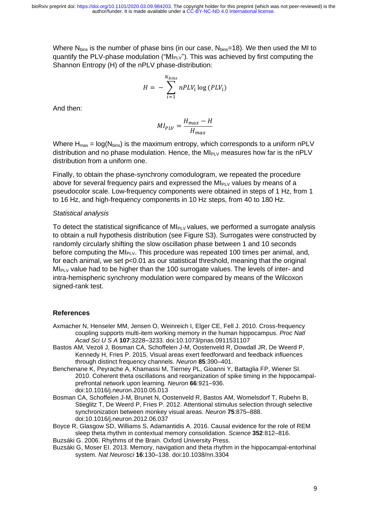Where  $N_{bins}$  is the number of phase bins (in our case,  $N_{bins}=18$ ). We then used the MI to quantify the PLV-phase modulation (" $M_{PUV}$ "). This was achieved by first computing the Shannon Entropy (H) of the nPLV phase-distribution:

$$
H = -\sum_{i=1}^{N_{bins}} nPLV_i \log (PLV_i)
$$

And then:

$$
MI_{PLV} = \frac{H_{max} - H}{H_{max}}
$$

Where  $H_{max} = log(N_{bins})$  is the maximum entropy, which corresponds to a uniform nPLV distribution and no phase modulation. Hence, the MI<sub>PLV</sub> measures how far is the nPLV distribution from a uniform one.

Finally, to obtain the phase-synchrony comodulogram, we repeated the procedure above for several frequency pairs and expressed the  $M_{\text{PlV}}$  values by means of a pseudocolor scale. Low-frequency components were obtained in steps of 1 Hz, from 1 to 16 Hz, and high-frequency components in 10 Hz steps, from 40 to 180 Hz.

#### *Statistical analysis*

To detect the statistical significance of  $M_{P\text{LV}}$  values, we performed a surrogate analysis to obtain a null hypothesis distribution (see Figure S3). Surrogates were constructed by randomly circularly shifting the slow oscillation phase between 1 and 10 seconds before computing the  $M|_{P\cup Y}$ . This procedure was repeated 100 times per animal, and, for each animal, we set p<0.01 as our statistical threshold, meaning that the original  $M_{PV}$  value had to be higher than the 100 surrogate values. The levels of inter- and intra-hemispheric synchrony modulation were compared by means of the Wilcoxon signed-rank test.

## **References**

- Axmacher N, Henseler MM, Jensen O, Weinreich I, Elger CE, Fell J. 2010. Cross-frequency coupling supports multi-item working memory in the human hippocampus. *Proc Natl Acad Sci U S A* **107**:3228–3233. doi:10.1073/pnas.0911531107
- Bastos AM, Vezoli J, Bosman CA, Schoffelen J-M, Oostenveld R, Dowdall JR, De Weerd P, Kennedy H, Fries P. 2015. Visual areas exert feedforward and feedback influences through distinct frequency channels. *Neuron* **85**:390–401.
- Benchenane K, Peyrache A, Khamassi M, Tierney PL, Gioanni Y, Battaglia FP, Wiener SI. 2010. Coherent theta oscillations and reorganization of spike timing in the hippocampalprefrontal network upon learning. *Neuron* **66**:921–936. doi:10.1016/j.neuron.2010.05.013
- Bosman CA, Schoffelen J-M, Brunet N, Oostenveld R, Bastos AM, Womelsdorf T, Rubehn B, Stieglitz T, De Weerd P, Fries P. 2012. Attentional stimulus selection through selective synchronization between monkey visual areas. *Neuron* **75**:875–888. doi:10.1016/j.neuron.2012.06.037
- Boyce R, Glasgow SD, Williams S, Adamantidis A. 2016. Causal evidence for the role of REM sleep theta rhythm in contextual memory consolidation. *Science* **352**:812–816.
- Buzsáki G. 2006. Rhythms of the Brain. Oxford University Press.
- Buzsáki G, Moser EI. 2013. Memory, navigation and theta rhythm in the hippocampal-entorhinal system. *Nat Neurosci* **16**:130–138. doi:10.1038/nn.3304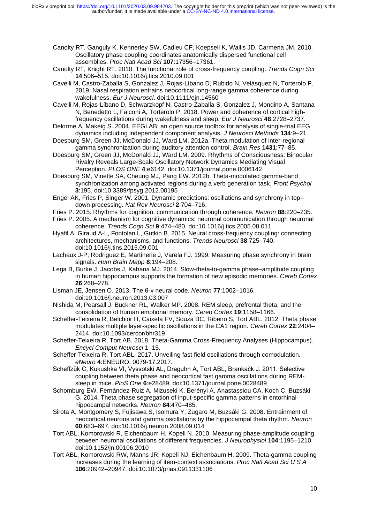Canolty RT, Ganguly K, Kennerley SW, Cadieu CF, Koepsell K, Wallis JD, Carmena JM. 2010. Oscillatory phase coupling coordinates anatomically dispersed functional cell assemblies. *Proc Natl Acad Sci* **107**:17356–17361.

- Canolty RT, Knight RT. 2010. The functional role of cross-frequency coupling. *Trends Cogn Sci* **14**:506–515. doi:10.1016/j.tics.2010.09.001
- Cavelli M, Castro-Zaballa S, Gonzalez J, Rojas-Líbano D, Rubido N, Velásquez N, Torterolo P. 2019. Nasal respiration entrains neocortical long-range gamma coherence during wakefulness. *Eur J Neurosci*. doi:10.1111/ejn.14560
- Cavelli M, Rojas-Líbano D, Schwarzkopf N, Castro-Zaballa S, Gonzalez J, Mondino A, Santana N, Benedetto L, Falconi A, Torterolo P. 2018. Power and coherence of cortical highfrequency oscillations during wakefulness and sleep. *Eur J Neurosci* **48**:2728–2737.
- Delorme A, Makeig S. 2004. EEGLAB: an open source toolbox for analysis of single-trial EEG dynamics including independent component analysis. *J Neurosci Methods* **134**:9–21.
- Doesburg SM, Green JJ, McDonald JJ, Ward LM. 2012a. Theta modulation of inter-regional gamma synchronization during auditory attention control. *Brain Res* **1431**:77–85.
- Doesburg SM, Green JJ, McDonald JJ, Ward LM. 2009. Rhythms of Consciousness: Binocular Rivalry Reveals Large-Scale Oscillatory Network Dynamics Mediating Visual Perception. *PLOS ONE* **4**:e6142. doi:10.1371/journal.pone.0006142
- Doesburg SM, Vinette SA, Cheung MJ, Pang EW. 2012b. Theta-modulated gamma-band synchronization among activated regions during a verb generation task. *Front Psychol* **3**:195. doi:10.3389/fpsyg.2012.00195
- Engel AK, Fries P, Singer W. 2001. Dynamic predictions: oscillations and synchrony in top– down processing. *Nat Rev Neurosci* **2**:704–716.
- Fries P. 2015. Rhythms for cognition: communication through coherence. *Neuron* **88**:220–235.
- Fries P. 2005. A mechanism for cognitive dynamics: neuronal communication through neuronal coherence. *Trends Cogn Sci* **9**:474–480. doi:10.1016/j.tics.2005.08.011
- Hyafil A, Giraud A-L, Fontolan L, Gutkin B. 2015. Neural cross-frequency coupling: connecting architectures, mechanisms, and functions. *Trends Neurosci* **38**:725–740. doi:10.1016/j.tins.2015.09.001
- Lachaux J-P, Rodriguez E, Martinerie J, Varela FJ. 1999. Measuring phase synchrony in brain signals. *Hum Brain Mapp* **8**:194–208.
- Lega B, Burke J, Jacobs J, Kahana MJ. 2014. Slow-theta-to-gamma phase–amplitude coupling in human hippocampus supports the formation of new episodic memories. *Cereb Cortex* **26**:268–278.
- Lisman JE, Jensen O. 2013. The θ-γ neural code. *Neuron* **77**:1002–1016. doi:10.1016/j.neuron.2013.03.007
- Nishida M, Pearsall J, Buckner RL, Walker MP. 2008. REM sleep, prefrontal theta, and the consolidation of human emotional memory. *Cereb Cortex* **19**:1158–1166.
- Scheffer-Teixeira R, Belchior H, Caixeta FV, Souza BC, Ribeiro S, Tort ABL. 2012. Theta phase modulates multiple layer-specific oscillations in the CA1 region. *Cereb Cortex* **22**:2404– 2414. doi:10.1093/cercor/bhr319
- Scheffer-Teixeira R, Tort AB. 2018. Theta-Gamma Cross-Frequency Analyses (Hippocampus). *Encycl Comput Neurosci* 1–15.
- Scheffer-Teixeira R, Tort ABL. 2017. Unveiling fast field oscillations through comodulation. *eNeuro* **4**:ENEURO. 0079-17.2017.
- Scheffzük C, Kukushka VI, Vyssotski AL, Draguhn A, Tort ABL, Brankačk J. 2011. Selective coupling between theta phase and neocortical fast gamma oscillations during REMsleep in mice. *PloS One* **6**:e28489. doi:10.1371/journal.pone.0028489
- Schomburg EW, Fernández-Ruiz A, Mizuseki K, Berényi A, Anastassiou CA, Koch C, Buzsáki G. 2014. Theta phase segregation of input-specific gamma patterns in entorhinalhippocampal networks. *Neuron* **84**:470–485.
- Sirota A, Montgomery S, Fujisawa S, Isomura Y, Zugaro M, Buzsáki G. 2008. Entrainment of neocortical neurons and gamma oscillations by the hippocampal theta rhythm. *Neuron* **60**:683–697. doi:10.1016/j.neuron.2008.09.014
- Tort ABL, Komorowski R, Eichenbaum H, Kopell N. 2010. Measuring phase-amplitude coupling between neuronal oscillations of different frequencies. *J Neurophysiol* **104**:1195–1210. doi:10.1152/jn.00106.2010
- Tort ABL, Komorowski RW, Manns JR, Kopell NJ, Eichenbaum H. 2009. Theta-gamma coupling increases during the learning of item-context associations. *Proc Natl Acad Sci U S A* **106**:20942–20947. doi:10.1073/pnas.0911331106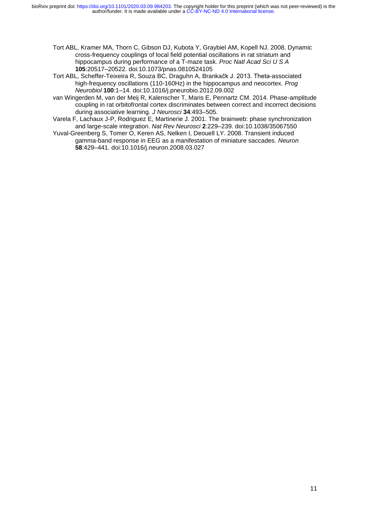- Tort ABL, Kramer MA, Thorn C, Gibson DJ, Kubota Y, Graybiel AM, Kopell NJ. 2008. Dynamic cross-frequency couplings of local field potential oscillations in rat striatum and hippocampus during performance of a T-maze task. *Proc Natl Acad Sci U S A* **105**:20517–20522. doi:10.1073/pnas.0810524105
- Tort ABL, Scheffer-Teixeira R, Souza BC, Draguhn A, Brankačk J. 2013. Theta-associated high-frequency oscillations (110-160Hz) in the hippocampus and neocortex. *Prog Neurobiol* **100**:1–14. doi:10.1016/j.pneurobio.2012.09.002
- van Wingerden M, van der Meij R, Kalenscher T, Maris E, Pennartz CM. 2014. Phase-amplitude coupling in rat orbitofrontal cortex discriminates between correct and incorrect decisions during associative learning. *J Neurosci* **34**:493–505.
- Varela F, Lachaux J-P, Rodriguez E, Martinerie J. 2001. The brainweb: phase synchronization and large-scale integration. *Nat Rev Neurosci* **2**:229–239. doi:10.1038/35067550
- Yuval-Greenberg S, Tomer O, Keren AS, Nelken I, Deouell LY. 2008. Transient induced gamma-band response in EEG as a manifestation of miniature saccades. *Neuron* **58**:429–441. doi:10.1016/j.neuron.2008.03.027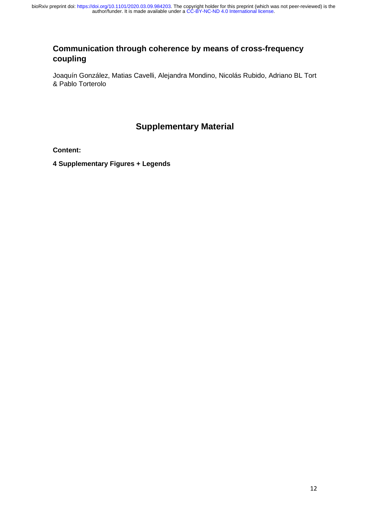# **Communication through coherence by means of cross-frequency coupling**

Joaquín González, Matias Cavelli, Alejandra Mondino, Nicolás Rubido, Adriano BL Tort & Pablo Torterolo

# **Supplementary Material**

## **Content:**

**4 Supplementary Figures + Legends**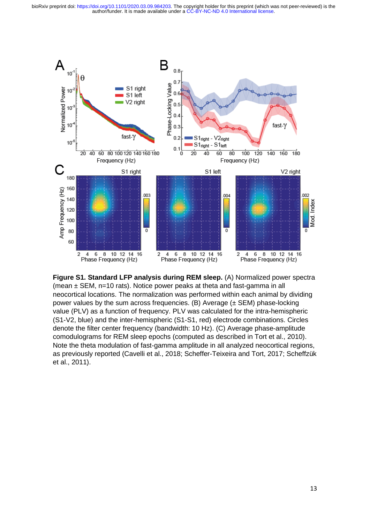author/funder. It is made available under a [CC-BY-NC-ND 4.0 International license.](http://creativecommons.org/licenses/by-nc-nd/4.0/) bioRxiv preprint doi: [https://doi.org/10.1101/2020.03.09.984203.](https://doi.org/10.1101/2020.03.09.984203) The copyright holder for this preprint (which was not peer-reviewed) is the



**Figure S1. Standard LFP analysis during REM sleep.** (A) Normalized power spectra (mean ± SEM, n=10 rats). Notice power peaks at theta and fast-gamma in all neocortical locations. The normalization was performed within each animal by dividing power values by the sum across frequencies. (B) Average  $(\pm$  SEM) phase-locking value (PLV) as a function of frequency. PLV was calculated for the intra-hemispheric (S1-V2, blue) and the inter-hemispheric (S1-S1, red) electrode combinations. Circles denote the filter center frequency (bandwidth: 10 Hz). (C) Average phase-amplitude comodulograms for REM sleep epochs (computed as described in Tort et al., 2010). Note the theta modulation of fast-gamma amplitude in all analyzed neocortical regions, as previously reported (Cavelli et al., 2018; Scheffer-Teixeira and Tort, 2017; Scheffzük et al., 2011).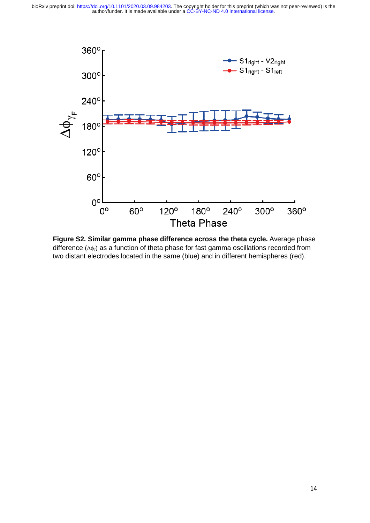

**Figure S2. Similar gamma phase difference across the theta cycle.** Average phase difference  $(\Delta\phi_1)$  as a function of theta phase for fast gamma oscillations recorded from two distant electrodes located in the same (blue) and in different hemispheres (red).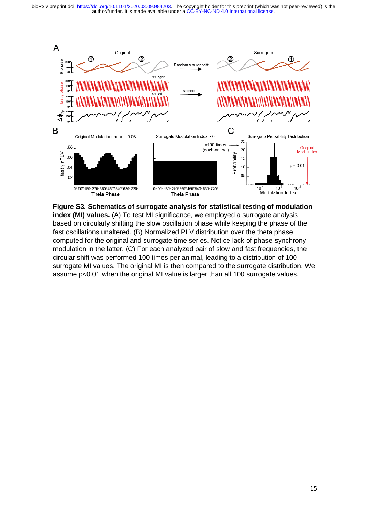author/funder. It is made available under a [CC-BY-NC-ND 4.0 International license.](http://creativecommons.org/licenses/by-nc-nd/4.0/) bioRxiv preprint doi: [https://doi.org/10.1101/2020.03.09.984203.](https://doi.org/10.1101/2020.03.09.984203) The copyright holder for this preprint (which was not peer-reviewed) is the



**Figure S3. Schematics of surrogate analysis for statistical testing of modulation index (MI) values.** (A) To test MI significance, we employed a surrogate analysis based on circularly shifting the slow oscillation phase while keeping the phase of the fast oscillations unaltered. (B) Normalized PLV distribution over the theta phase computed for the original and surrogate time series. Notice lack of phase-synchrony modulation in the latter. (C) For each analyzed pair of slow and fast frequencies, the circular shift was performed 100 times per animal, leading to a distribution of 100 surrogate MI values. The original MI is then compared to the surrogate distribution. We assume p<0.01 when the original MI value is larger than all 100 surrogate values.